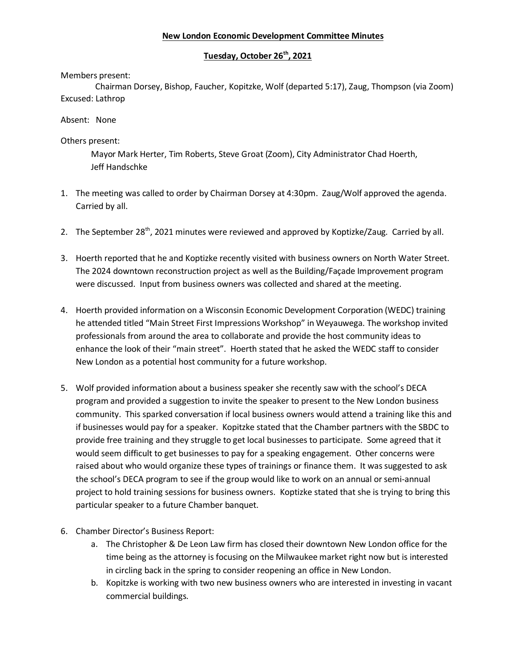## **New London Economic Development Committee Minutes**

# **Tuesday, October 26th, 2021**

### Members present:

 Chairman Dorsey, Bishop, Faucher, Kopitzke, Wolf (departed 5:17), Zaug, Thompson (via Zoom) Excused: Lathrop

### Absent: None

## Others present:

Mayor Mark Herter, Tim Roberts, Steve Groat (Zoom), City Administrator Chad Hoerth, Jeff Handschke

- 1. The meeting was called to order by Chairman Dorsey at 4:30pm. Zaug/Wolf approved the agenda. Carried by all.
- 2. The September 28<sup>th</sup>, 2021 minutes were reviewed and approved by Koptizke/Zaug. Carried by all.
- 3. Hoerth reported that he and Koptizke recently visited with business owners on North Water Street. The 2024 downtown reconstruction project as well as the Building/Façade Improvement program were discussed. Input from business owners was collected and shared at the meeting.
- 4. Hoerth provided information on a Wisconsin Economic Development Corporation (WEDC) training he attended titled "Main Street First Impressions Workshop" in Weyauwega. The workshop invited professionals from around the area to collaborate and provide the host community ideas to enhance the look of their "main street". Hoerth stated that he asked the WEDC staff to consider New London as a potential host community for a future workshop.
- 5. Wolf provided information about a business speaker she recently saw with the school's DECA program and provided a suggestion to invite the speaker to present to the New London business community. This sparked conversation if local business owners would attend a training like this and if businesses would pay for a speaker. Kopitzke stated that the Chamber partners with the SBDC to provide free training and they struggle to get local businesses to participate. Some agreed that it would seem difficult to get businesses to pay for a speaking engagement. Other concerns were raised about who would organize these types of trainings or finance them. It was suggested to ask the school's DECA program to see if the group would like to work on an annual or semi-annual project to hold training sessions for business owners. Koptizke stated that she is trying to bring this particular speaker to a future Chamber banquet.
- 6. Chamber Director's Business Report:
	- a. The Christopher & De Leon Law firm has closed their downtown New London office for the time being as the attorney is focusing on the Milwaukee market right now but is interested in circling back in the spring to consider reopening an office in New London.
	- b. Kopitzke is working with two new business owners who are interested in investing in vacant commercial buildings.